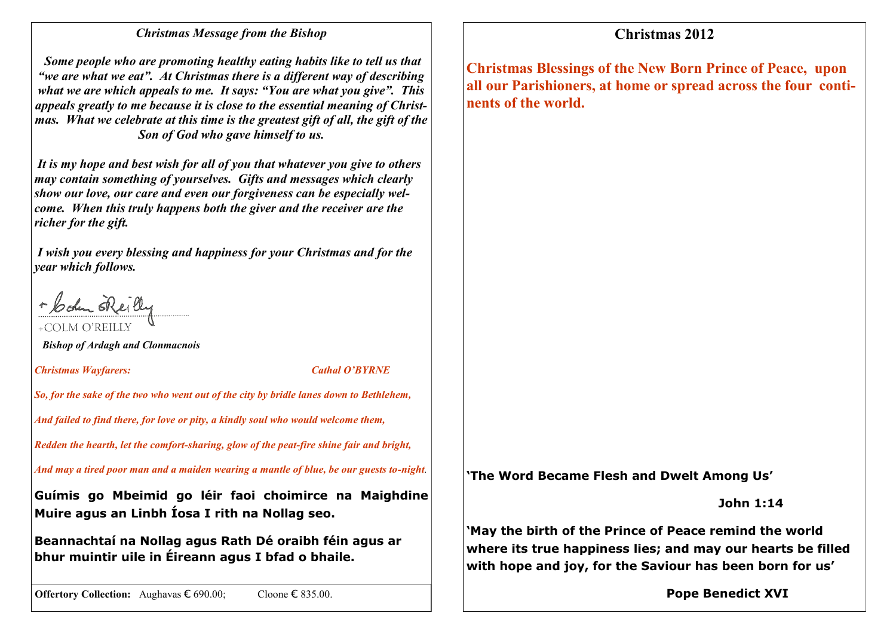## *Christmas Message from the Bishop*

*Some people who are promoting healthy eating habits like to tell us that "we are what we eat". At Christmas there is a different way of describing what we are which appeals to me. It says: "You are what you give". This appeals greatly to me because it is close to the essential meaning of Christmas. What we celebrate at this time is the greatest gift of all, the gift of the Son of God who gave himself to us.*

*It is my hope and best wish for all of you that whatever you give to others may contain something of yourselves. Gifts and messages which clearly show our love, our care and even our forgiveness can be especially welcome. When this truly happens both the giver and the receiver are the richer for the gift.*

*I wish you every blessing and happiness for your Christmas and for the year which follows.*

 *Bishop of Ardagh and Clonmacnois*

*Christmas Wayfarers: Cathal O'BYRNE*

*So, for the sake of the two who went out of the city by bridle lanes down to Bethlehem,*

*And failed to find there, for love or pity, a kindly soul who would welcome them,*

*Redden the hearth, let the comfort-sharing, glow of the peat-fire shine fair and bright,*

*And may a tired poor man and a maiden wearing a mantle of blue, be our guests to-night.*

**Guímis go Mbeimid go léir faoi choimirce na Maighdine Muire agus an Linbh Íosa I rith na Nollag seo.**

**Beannachtaí na Nollag agus Rath Dé oraibh féin agus ar bhur muintir uile in Éireann agus I bfad o bhaile.**

## **Christmas 2012**

**Christmas Blessings of the New Born Prince of Peace, upon all our Parishioners, at home or spread across the four continents of the world.** 

**'The Word Became Flesh and Dwelt Among Us'**

 **John 1:14**

**'May the birth of the Prince of Peace remind the world where its true happiness lies; and may our hearts be filled with hope and joy, for the Saviour has been born for us'**

 **Pope Benedict XVI**